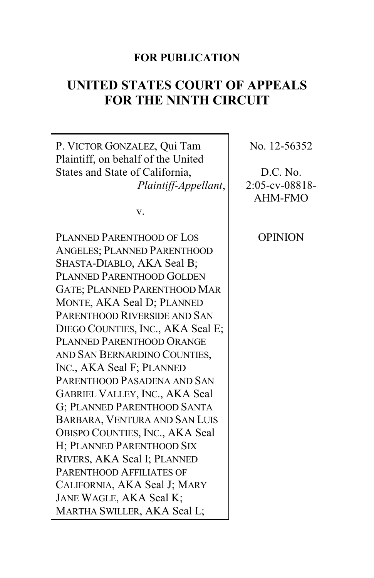# **FOR PUBLICATION**

# **UNITED STATES COURT OF APPEALS FOR THE NINTH CIRCUIT**

P. VICTOR GONZALEZ, Qui Tam Plaintiff, on behalf of the United States and State of California, *Plaintiff-Appellant*,

v.

PLANNED PARENTHOOD OF LOS ANGELES; PLANNED PARENTHOOD SHASTA-DIABLO, AKA Seal B; PLANNED PARENTHOOD GOLDEN GATE; PLANNED PARENTHOOD MAR MONTE, AKA Seal D; PLANNED PARENTHOOD RIVERSIDE AND SAN DIEGO COUNTIES, INC., AKA Seal E; PLANNED PARENTHOOD ORANGE AND SAN BERNARDINO COUNTIES, INC., AKA Seal F; PLANNED PARENTHOOD PASADENA AND SAN GABRIEL VALLEY, INC., AKA Seal G; PLANNED PARENTHOOD SANTA BARBARA, VENTURA AND SAN LUIS OBISPO COUNTIES, INC., AKA Seal H; PLANNED PARENTHOOD SIX RIVERS, AKA Seal I; PLANNED PARENTHOOD AFFILIATES OF CALIFORNIA, AKA Seal J; MARY JANE WAGLE, AKA Seal K; MARTHA SWILLER, AKA Seal L;

No. 12-56352

D.C. No. 2:05-cv-08818- AHM-FMO

**OPINION**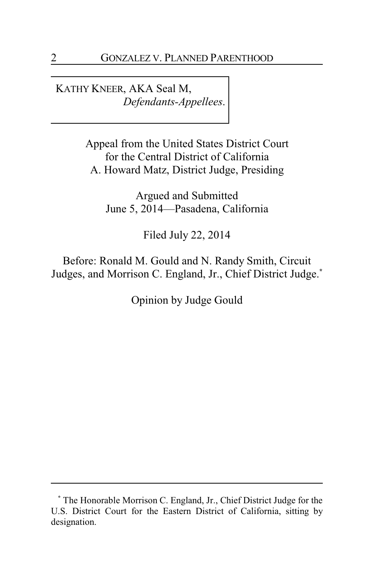KATHY KNEER, AKA Seal M, *Defendants-Appellees*.

> Appeal from the United States District Court for the Central District of California A. Howard Matz, District Judge, Presiding

Argued and Submitted June 5, 2014—Pasadena, California

Filed July 22, 2014

Before: Ronald M. Gould and N. Randy Smith, Circuit Judges, and Morrison C. England, Jr., Chief District Judge.**\***

Opinion by Judge Gould

**<sup>\*</sup>** The Honorable Morrison C. England, Jr., Chief District Judge for the U.S. District Court for the Eastern District of California, sitting by designation.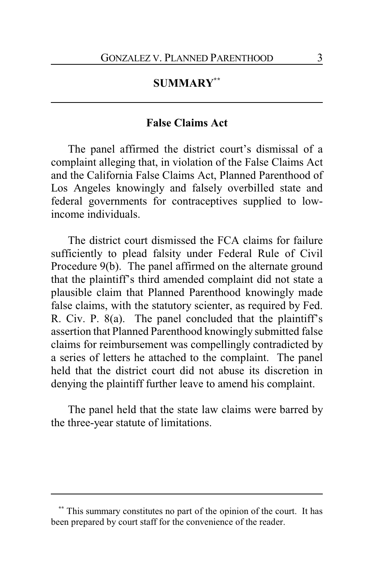# **SUMMARY\*\***

## **False Claims Act**

The panel affirmed the district court's dismissal of a complaint alleging that, in violation of the False Claims Act and the California False Claims Act, Planned Parenthood of Los Angeles knowingly and falsely overbilled state and federal governments for contraceptives supplied to lowincome individuals.

The district court dismissed the FCA claims for failure sufficiently to plead falsity under Federal Rule of Civil Procedure 9(b). The panel affirmed on the alternate ground that the plaintiff's third amended complaint did not state a plausible claim that Planned Parenthood knowingly made false claims, with the statutory scienter, as required by Fed. R. Civ. P. 8(a). The panel concluded that the plaintiff's assertion that Planned Parenthood knowingly submitted false claims for reimbursement was compellingly contradicted by a series of letters he attached to the complaint. The panel held that the district court did not abuse its discretion in denying the plaintiff further leave to amend his complaint.

The panel held that the state law claims were barred by the three-year statute of limitations.

This summary constitutes no part of the opinion of the court. It has been prepared by court staff for the convenience of the reader.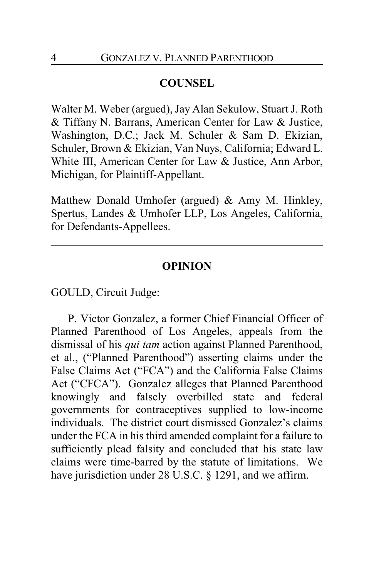## **COUNSEL**

Walter M. Weber (argued), Jay Alan Sekulow, Stuart J. Roth & Tiffany N. Barrans, American Center for Law & Justice, Washington, D.C.; Jack M. Schuler & Sam D. Ekizian, Schuler, Brown & Ekizian, Van Nuys, California; Edward L. White III, American Center for Law & Justice, Ann Arbor, Michigan, for Plaintiff-Appellant.

Matthew Donald Umhofer (argued) & Amy M. Hinkley, Spertus, Landes & Umhofer LLP, Los Angeles, California, for Defendants-Appellees.

#### **OPINION**

GOULD, Circuit Judge:

P. Victor Gonzalez, a former Chief Financial Officer of Planned Parenthood of Los Angeles, appeals from the dismissal of his *qui tam* action against Planned Parenthood, et al., ("Planned Parenthood") asserting claims under the False Claims Act ("FCA") and the California False Claims Act ("CFCA"). Gonzalez alleges that Planned Parenthood knowingly and falsely overbilled state and federal governments for contraceptives supplied to low-income individuals. The district court dismissed Gonzalez's claims under the FCA in his third amended complaint for a failure to sufficiently plead falsity and concluded that his state law claims were time-barred by the statute of limitations. We have jurisdiction under 28 U.S.C. § 1291, and we affirm.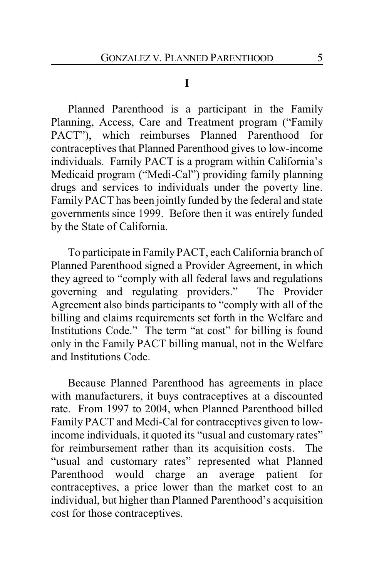### **I**

Planned Parenthood is a participant in the Family Planning, Access, Care and Treatment program ("Family PACT"), which reimburses Planned Parenthood for contraceptives that Planned Parenthood gives to low-income individuals. Family PACT is a program within California's Medicaid program ("Medi-Cal") providing family planning drugs and services to individuals under the poverty line. Family PACT has been jointly funded by the federal and state governments since 1999. Before then it was entirely funded by the State of California.

To participate in Family PACT, each California branch of Planned Parenthood signed a Provider Agreement, in which they agreed to "comply with all federal laws and regulations governing and regulating providers." The Provider Agreement also binds participants to "comply with all of the billing and claims requirements set forth in the Welfare and Institutions Code." The term "at cost" for billing is found only in the Family PACT billing manual, not in the Welfare and Institutions Code.

Because Planned Parenthood has agreements in place with manufacturers, it buys contraceptives at a discounted rate. From 1997 to 2004, when Planned Parenthood billed Family PACT and Medi-Cal for contraceptives given to lowincome individuals, it quoted its "usual and customary rates" for reimbursement rather than its acquisition costs. The "usual and customary rates" represented what Planned Parenthood would charge an average patient for contraceptives, a price lower than the market cost to an individual, but higher than Planned Parenthood's acquisition cost for those contraceptives.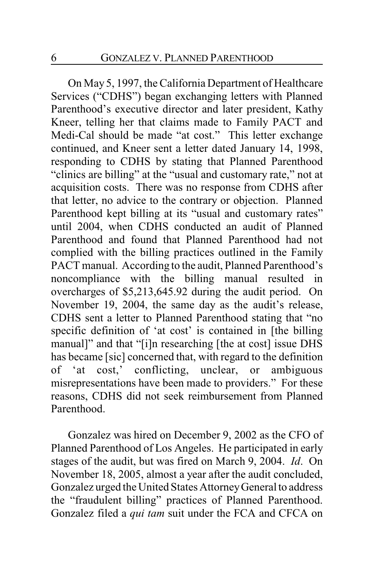On May 5, 1997, the California Department of Healthcare Services ("CDHS") began exchanging letters with Planned Parenthood's executive director and later president, Kathy Kneer, telling her that claims made to Family PACT and Medi-Cal should be made "at cost." This letter exchange continued, and Kneer sent a letter dated January 14, 1998, responding to CDHS by stating that Planned Parenthood "clinics are billing" at the "usual and customary rate," not at acquisition costs. There was no response from CDHS after that letter, no advice to the contrary or objection. Planned Parenthood kept billing at its "usual and customary rates" until 2004, when CDHS conducted an audit of Planned Parenthood and found that Planned Parenthood had not complied with the billing practices outlined in the Family PACT manual. According to the audit, Planned Parenthood's noncompliance with the billing manual resulted in overcharges of \$5,213,645.92 during the audit period. On November 19, 2004, the same day as the audit's release, CDHS sent a letter to Planned Parenthood stating that "no specific definition of 'at cost' is contained in [the billing manual]" and that "[i]n researching [the at cost] issue DHS has became [sic] concerned that, with regard to the definition of 'at cost,' conflicting, unclear, or ambiguous misrepresentations have been made to providers." For these reasons, CDHS did not seek reimbursement from Planned Parenthood.

Gonzalez was hired on December 9, 2002 as the CFO of Planned Parenthood of Los Angeles. He participated in early stages of the audit, but was fired on March 9, 2004. *Id*. On November 18, 2005, almost a year after the audit concluded, Gonzalez urged the United States AttorneyGeneral to address the "fraudulent billing" practices of Planned Parenthood. Gonzalez filed a *qui tam* suit under the FCA and CFCA on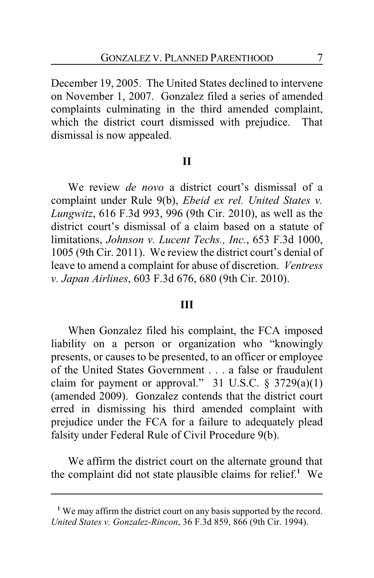December 19, 2005. The United States declined to intervene on November 1, 2007. Gonzalez filed a series of amended complaints culminating in the third amended complaint, which the district court dismissed with prejudice. That dismissal is now appealed.

### **II**

We review *de novo* a district court's dismissal of a complaint under Rule 9(b), *Ebeid ex rel. United States v. Lungwitz*, 616 F.3d 993, 996 (9th Cir. 2010), as well as the district court's dismissal of a claim based on a statute of limitations, *Johnson v. Lucent Techs., Inc.*, 653 F.3d 1000, 1005 (9th Cir. 2011). We review the district court's denial of leave to amend a complaint for abuse of discretion. *Ventress v. Japan Airlines*, 603 F.3d 676, 680 (9th Cir. 2010).

### **III**

When Gonzalez filed his complaint, the FCA imposed liability on a person or organization who "knowingly presents, or causes to be presented, to an officer or employee of the United States Government . . . a false or fraudulent claim for payment or approval." 31 U.S.C.  $\S$  3729(a)(1) (amended 2009). Gonzalez contends that the district court erred in dismissing his third amended complaint with prejudice under the FCA for a failure to adequately plead falsity under Federal Rule of Civil Procedure 9(b).

We affirm the district court on the alternate ground that the complaint did not state plausible claims for relief.**<sup>1</sup>** We

**<sup>1</sup>** We may affirm the district court on any basis supported by the record. *United States v. Gonzalez-Rincon*, 36 F.3d 859, 866 (9th Cir. 1994).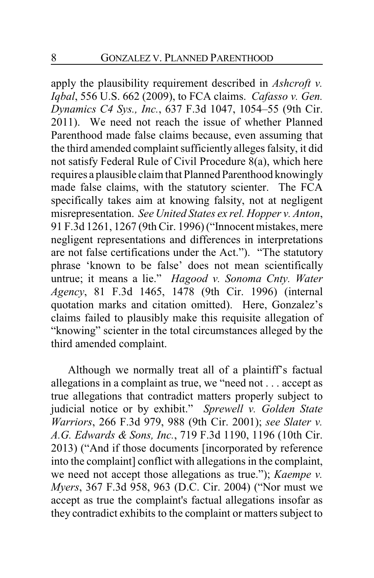apply the plausibility requirement described in *Ashcroft v. Iqbal*, 556 U.S. 662 (2009), to FCA claims. *Cafasso v. Gen. Dynamics C4 Sys., Inc.*, 637 F.3d 1047, 1054–55 (9th Cir. 2011). We need not reach the issue of whether Planned Parenthood made false claims because, even assuming that the third amended complaint sufficiently alleges falsity, it did not satisfy Federal Rule of Civil Procedure 8(a), which here requires a plausible claim that Planned Parenthood knowingly made false claims, with the statutory scienter. The FCA specifically takes aim at knowing falsity, not at negligent misrepresentation. *See United States ex rel. Hopper v. Anton*, 91 F.3d 1261, 1267 (9th Cir. 1996) ("Innocent mistakes, mere negligent representations and differences in interpretations are not false certifications under the Act."). "The statutory phrase 'known to be false' does not mean scientifically untrue; it means a lie." *Hagood v. Sonoma Cnty. Water Agency*, 81 F.3d 1465, 1478 (9th Cir. 1996) (internal quotation marks and citation omitted). Here, Gonzalez's claims failed to plausibly make this requisite allegation of "knowing" scienter in the total circumstances alleged by the third amended complaint.

Although we normally treat all of a plaintiff's factual allegations in a complaint as true, we "need not . . . accept as true allegations that contradict matters properly subject to judicial notice or by exhibit." *Sprewell v. Golden State Warriors*, 266 F.3d 979, 988 (9th Cir. 2001); *see Slater v. A.G. Edwards & Sons, Inc.*, 719 F.3d 1190, 1196 (10th Cir. 2013) ("And if those documents [incorporated by reference into the complaint] conflict with allegations in the complaint, we need not accept those allegations as true."); *Kaempe v. Myers*, 367 F.3d 958, 963 (D.C. Cir. 2004) ("Nor must we accept as true the complaint's factual allegations insofar as they contradict exhibits to the complaint or matters subject to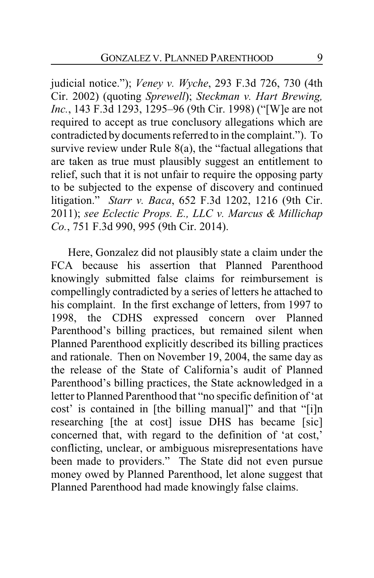judicial notice."); *Veney v. Wyche*, 293 F.3d 726, 730 (4th Cir. 2002) (quoting *Sprewell*); *Steckman v. Hart Brewing, Inc.*, 143 F.3d 1293, 1295–96 (9th Cir. 1998) ("[W]e are not required to accept as true conclusory allegations which are contradicted by documents referred to in the complaint."). To survive review under Rule 8(a), the "factual allegations that are taken as true must plausibly suggest an entitlement to relief, such that it is not unfair to require the opposing party to be subjected to the expense of discovery and continued litigation." *Starr v. Baca*, 652 F.3d 1202, 1216 (9th Cir. 2011); *see Eclectic Props. E., LLC v. Marcus & Millichap Co.*, 751 F.3d 990, 995 (9th Cir. 2014).

Here, Gonzalez did not plausibly state a claim under the FCA because his assertion that Planned Parenthood knowingly submitted false claims for reimbursement is compellingly contradicted by a series of letters he attached to his complaint. In the first exchange of letters, from 1997 to 1998, the CDHS expressed concern over Planned Parenthood's billing practices, but remained silent when Planned Parenthood explicitly described its billing practices and rationale. Then on November 19, 2004, the same day as the release of the State of California's audit of Planned Parenthood's billing practices, the State acknowledged in a letter to Planned Parenthood that "no specific definition of 'at cost' is contained in [the billing manual]" and that "[i]n researching [the at cost] issue DHS has became [sic] concerned that, with regard to the definition of 'at cost,' conflicting, unclear, or ambiguous misrepresentations have been made to providers." The State did not even pursue money owed by Planned Parenthood, let alone suggest that Planned Parenthood had made knowingly false claims.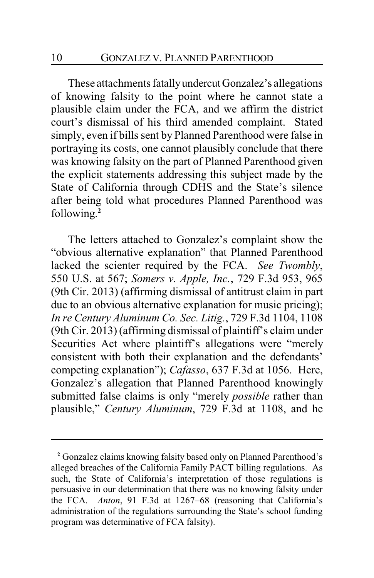These attachments fatallyundercutGonzalez's allegations of knowing falsity to the point where he cannot state a plausible claim under the FCA, and we affirm the district court's dismissal of his third amended complaint. Stated simply, even if bills sent by Planned Parenthood were false in portraying its costs, one cannot plausibly conclude that there was knowing falsity on the part of Planned Parenthood given the explicit statements addressing this subject made by the State of California through CDHS and the State's silence after being told what procedures Planned Parenthood was following. **2**

The letters attached to Gonzalez's complaint show the "obvious alternative explanation" that Planned Parenthood lacked the scienter required by the FCA. *See Twombly*, 550 U.S. at 567; *Somers v. Apple, Inc.*, 729 F.3d 953, 965 (9th Cir. 2013) (affirming dismissal of antitrust claim in part due to an obvious alternative explanation for music pricing); *In re Century Aluminum Co. Sec. Litig.*, 729 F.3d 1104, 1108 (9th Cir. 2013) (affirming dismissal of plaintiff's claim under Securities Act where plaintiff's allegations were "merely consistent with both their explanation and the defendants' competing explanation"); *Cafasso*, 637 F.3d at 1056. Here, Gonzalez's allegation that Planned Parenthood knowingly submitted false claims is only "merely *possible* rather than plausible," *Century Aluminum*, 729 F.3d at 1108, and he

**<sup>2</sup>** Gonzalez claims knowing falsity based only on Planned Parenthood's alleged breaches of the California Family PACT billing regulations. As such, the State of California's interpretation of those regulations is persuasive in our determination that there was no knowing falsity under the FCA. *Anton*, 91 F.3d at 1267–68 (reasoning that California's administration of the regulations surrounding the State's school funding program was determinative of FCA falsity).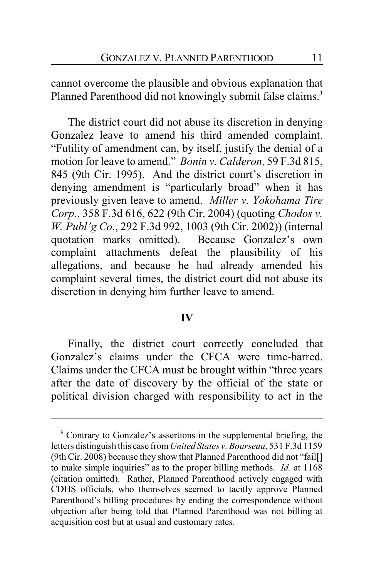cannot overcome the plausible and obvious explanation that Planned Parenthood did not knowingly submit false claims.**<sup>3</sup>**

The district court did not abuse its discretion in denying Gonzalez leave to amend his third amended complaint. "Futility of amendment can, by itself, justify the denial of a motion for leave to amend." *Bonin v. Calderon*, 59 F.3d 815, 845 (9th Cir. 1995). And the district court's discretion in denying amendment is "particularly broad" when it has previously given leave to amend. *Miller v. Yokohama Tire Corp*., 358 F.3d 616, 622 (9th Cir. 2004) (quoting *Chodos v. W. Publ'g Co.*, 292 F.3d 992, 1003 (9th Cir. 2002)) (internal quotation marks omitted). Because Gonzalez's own complaint attachments defeat the plausibility of his allegations, and because he had already amended his complaint several times, the district court did not abuse its discretion in denying him further leave to amend.

#### **IV**

Finally, the district court correctly concluded that Gonzalez's claims under the CFCA were time-barred. Claims under the CFCA must be brought within "three years after the date of discovery by the official of the state or political division charged with responsibility to act in the

**<sup>3</sup>** Contrary to Gonzalez's assertions in the supplemental briefing, the letters distinguish this case from*United States v. Bourseau*, 531 F.3d 1159 (9th Cir. 2008) because they show that Planned Parenthood did not "fail[] to make simple inquiries" as to the proper billing methods. *Id*. at 1168 (citation omitted). Rather, Planned Parenthood actively engaged with CDHS officials, who themselves seemed to tacitly approve Planned Parenthood's billing procedures by ending the correspondence without objection after being told that Planned Parenthood was not billing at acquisition cost but at usual and customary rates.